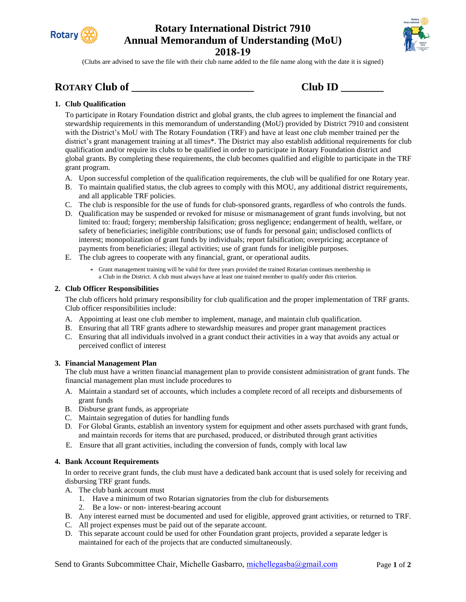

## **Rotary International District 7910 Annual Memorandum of Understanding (MoU) 2018-19**



(Clubs are advised to save the file with their club name added to the file name along with the date it is signed)

# **ROTARY Club of \_\_\_\_\_\_\_\_\_\_\_\_\_\_\_\_\_\_\_\_\_\_\_ Club ID \_\_\_\_\_\_\_\_**

| Club ID |  |
|---------|--|
|         |  |

## **1. Club Qualification**

To participate in Rotary Foundation district and global grants, the club agrees to implement the financial and stewardship requirements in this memorandum of understanding (MoU) provided by District 7910 and consistent with the District's MoU with The Rotary Foundation (TRF) and have at least one club member trained per the district's grant management training at all times\*. The District may also establish additional requirements for club qualification and/or require its clubs to be qualified in order to participate in Rotary Foundation district and global grants. By completing these requirements, the club becomes qualified and eligible to participate in the TRF grant program.

- A. Upon successful completion of the qualification requirements, the club will be qualified for one Rotary year.
- B. To maintain qualified status, the club agrees to comply with this MOU, any additional district requirements, and all applicable TRF policies.
- C. The club is responsible for the use of funds for club-sponsored grants, regardless of who controls the funds.
- D. Qualification may be suspended or revoked for misuse or mismanagement of grant funds involving, but not limited to: fraud; forgery; membership falsification; gross negligence; endangerment of health, welfare, or safety of beneficiaries; ineligible contributions; use of funds for personal gain; undisclosed conflicts of interest; monopolization of grant funds by individuals; report falsification; overpricing; acceptance of payments from beneficiaries; illegal activities; use of grant funds for ineligible purposes.
- E. The club agrees to cooperate with any financial, grant, or operational audits.
	- \* Grant management training will be valid for three years provided the trained Rotarian continues membership in a Club in the District. A club must always have at least one trained member to qualify under this criterion.

## **2. Club Officer Responsibilities**

The club officers hold primary responsibility for club qualification and the proper implementation of TRF grants. Club officer responsibilities include:

- A. Appointing at least one club member to implement, manage, and maintain club qualification.
- B. Ensuring that all TRF grants adhere to stewardship measures and proper grant management practices
- C. Ensuring that all individuals involved in a grant conduct their activities in a way that avoids any actual or perceived conflict of interest

## **3. Financial Management Plan**

The club must have a written financial management plan to provide consistent administration of grant funds. The financial management plan must include procedures to

- A. Maintain a standard set of accounts, which includes a complete record of all receipts and disbursements of grant funds
- B. Disburse grant funds, as appropriate
- C. Maintain segregation of duties for handling funds
- D. For Global Grants, establish an inventory system for equipment and other assets purchased with grant funds, and maintain records for items that are purchased, produced, or distributed through grant activities
- E. Ensure that all grant activities, including the conversion of funds, comply with local law

## **4. Bank Account Requirements**

In order to receive grant funds, the club must have a dedicated bank account that is used solely for receiving and disbursing TRF grant funds.

- A. The club bank account must
	- 1. Have a minimum of two Rotarian signatories from the club for disbursements
	- 2. Be a low- or non- interest-bearing account
- B. Any interest earned must be documented and used for eligible, approved grant activities, or returned to TRF.
- C. All project expenses must be paid out of the separate account.
- D. This separate account could be used for other Foundation grant projects, provided a separate ledger is maintained for each of the projects that are conducted simultaneously.